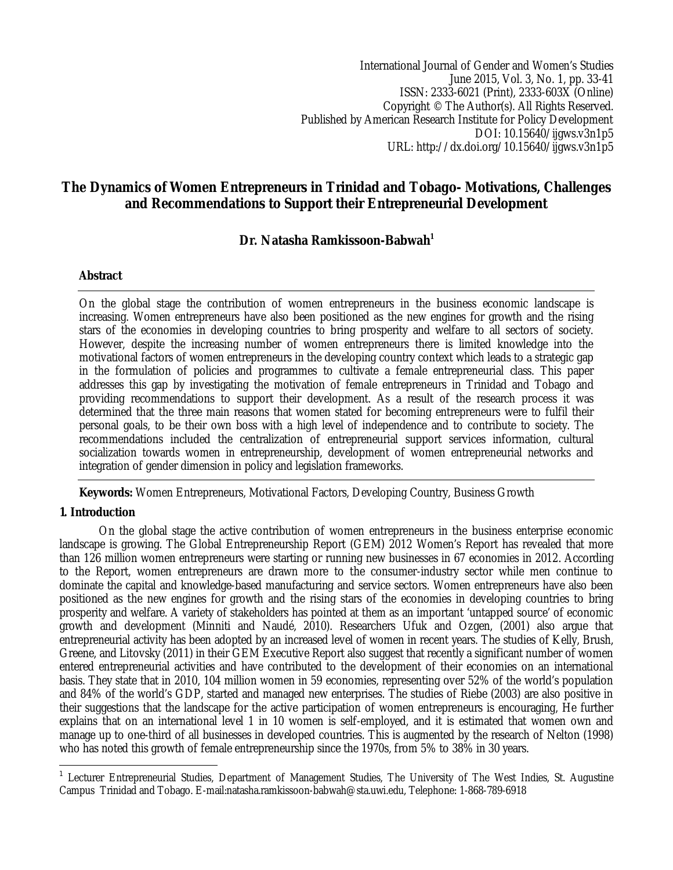International Journal of Gender and Women's Studies June 2015, Vol. 3, No. 1, pp. 33-41 ISSN: 2333-6021 (Print), 2333-603X (Online) Copyright © The Author(s). All Rights Reserved. Published by American Research Institute for Policy Development DOI: 10.15640/ijgws.v3n1p5 URL: http://dx.doi.org/10.15640/ijgws.v3n1p5

# **The Dynamics of Women Entrepreneurs in Trinidad and Tobago- Motivations, Challenges and Recommendations to Support their Entrepreneurial Development**

## **Dr. Natasha Ramkissoon-Babwah<sup>1</sup>**

## **Abstract**

On the global stage the contribution of women entrepreneurs in the business economic landscape is increasing. Women entrepreneurs have also been positioned as the new engines for growth and the rising stars of the economies in developing countries to bring prosperity and welfare to all sectors of society. However, despite the increasing number of women entrepreneurs there is limited knowledge into the motivational factors of women entrepreneurs in the developing country context which leads to a strategic gap in the formulation of policies and programmes to cultivate a female entrepreneurial class. This paper addresses this gap by investigating the motivation of female entrepreneurs in Trinidad and Tobago and providing recommendations to support their development. As a result of the research process it was determined that the three main reasons that women stated for becoming entrepreneurs were to fulfil their personal goals, to be their own boss with a high level of independence and to contribute to society. The recommendations included the centralization of entrepreneurial support services information, cultural socialization towards women in entrepreneurship, development of women entrepreneurial networks and integration of gender dimension in policy and legislation frameworks.

**Keywords:** Women Entrepreneurs, Motivational Factors, Developing Country, Business Growth

## **1. Introduction**

 $\overline{\phantom{a}}$ 

On the global stage the active contribution of women entrepreneurs in the business enterprise economic landscape is growing. The Global Entrepreneurship Report (GEM) 2012 Women's Report has revealed that more than 126 million women entrepreneurs were starting or running new businesses in 67 economies in 2012. According to the Report, women entrepreneurs are drawn more to the consumer-industry sector while men continue to dominate the capital and knowledge-based manufacturing and service sectors. Women entrepreneurs have also been positioned as the new engines for growth and the rising stars of the economies in developing countries to bring prosperity and welfare. A variety of stakeholders has pointed at them as an important 'untapped source' of economic growth and development (Minniti and Naudé, 2010). Researchers Ufuk and Ozgen, (2001) also argue that entrepreneurial activity has been adopted by an increased level of women in recent years. The studies of Kelly, Brush, Greene, and Litovsky (2011) in their GEM Executive Report also suggest that recently a significant number of women entered entrepreneurial activities and have contributed to the development of their economies on an international basis. They state that in 2010, 104 million women in 59 economies, representing over 52% of the world's population and 84% of the world's GDP, started and managed new enterprises. The studies of Riebe (2003) are also positive in their suggestions that the landscape for the active participation of women entrepreneurs is encouraging, He further explains that on an international level 1 in 10 women is self-employed, and it is estimated that women own and manage up to one-third of all businesses in developed countries. This is augmented by the research of Nelton (1998) who has noted this growth of female entrepreneurship since the 1970s, from 5% to 38% in 30 years.

<sup>&</sup>lt;sup>1</sup> Lecturer Entrepreneurial Studies, Department of Management Studies, The University of The West Indies, St. Augustine Campus Trinidad and Tobago. E-mail:natasha.ramkissoon-babwah@sta.uwi.edu, Telephone: 1-868-789-6918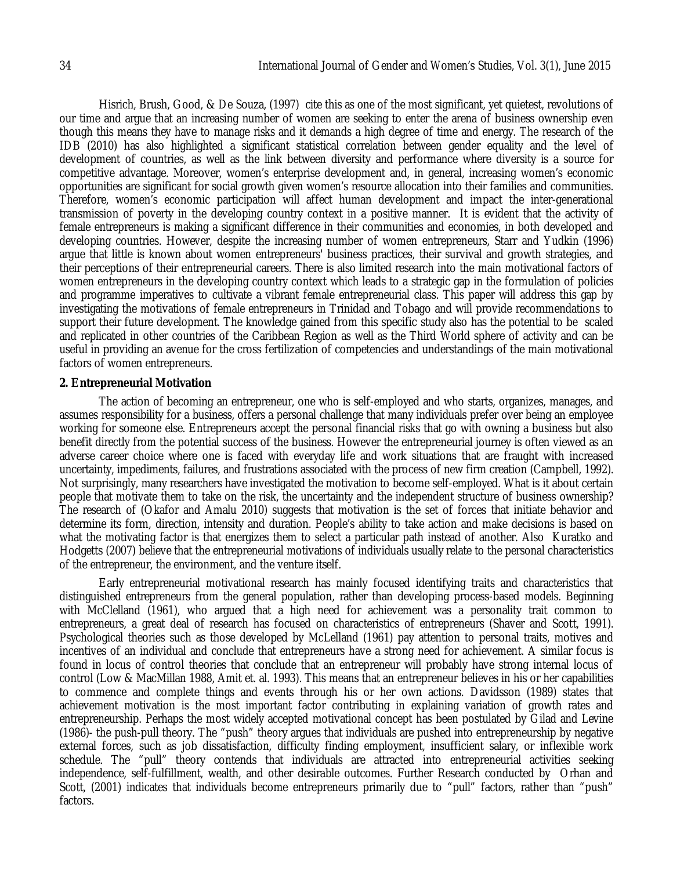Hisrich, Brush, Good, & De Souza, (1997) cite this as one of the most significant, yet quietest, revolutions of our time and argue that an increasing number of women are seeking to enter the arena of business ownership even though this means they have to manage risks and it demands a high degree of time and energy. The research of the IDB (2010) has also highlighted a significant statistical correlation between gender equality and the level of development of countries, as well as the link between diversity and performance where diversity is a source for competitive advantage. Moreover, women's enterprise development and, in general, increasing women's economic opportunities are significant for social growth given women's resource allocation into their families and communities. Therefore, women's economic participation will affect human development and impact the inter-generational transmission of poverty in the developing country context in a positive manner. It is evident that the activity of female entrepreneurs is making a significant difference in their communities and economies, in both developed and developing countries. However, despite the increasing number of women entrepreneurs, Starr and Yudkin (1996) argue that little is known about women entrepreneurs' business practices, their survival and growth strategies, and their perceptions of their entrepreneurial careers. There is also limited research into the main motivational factors of women entrepreneurs in the developing country context which leads to a strategic gap in the formulation of policies and programme imperatives to cultivate a vibrant female entrepreneurial class. This paper will address this gap by investigating the motivations of female entrepreneurs in Trinidad and Tobago and will provide recommendations to support their future development. The knowledge gained from this specific study also has the potential to be scaled and replicated in other countries of the Caribbean Region as well as the Third World sphere of activity and can be useful in providing an avenue for the cross fertilization of competencies and understandings of the main motivational factors of women entrepreneurs.

#### **2. Entrepreneurial Motivation**

The action of becoming an entrepreneur, one who is self-employed and who starts, organizes, manages, and assumes responsibility for a business, offers a personal challenge that many individuals prefer over being an employee working for someone else. Entrepreneurs accept the personal financial risks that go with owning a business but also benefit directly from the potential success of the business. However the entrepreneurial journey is often viewed as an adverse career choice where one is faced with everyday life and work situations that are fraught with increased uncertainty, impediments, failures, and frustrations associated with the process of new firm creation (Campbell, 1992). Not surprisingly, many researchers have investigated the motivation to become self-employed. What is it about certain people that motivate them to take on the risk, the uncertainty and the independent structure of business ownership? The research of (Okafor and Amalu 2010) suggests that motivation is the set of forces that initiate behavior and determine its form, direction, intensity and duration. People's ability to take action and make decisions is based on what the motivating factor is that energizes them to select a particular path instead of another. Also Kuratko and Hodgetts (2007) believe that the entrepreneurial motivations of individuals usually relate to the personal characteristics of the entrepreneur, the environment, and the venture itself.

Early entrepreneurial motivational research has mainly focused identifying traits and characteristics that distinguished entrepreneurs from the general population, rather than developing process-based models. Beginning with McClelland (1961), who argued that a high need for achievement was a personality trait common to entrepreneurs, a great deal of research has focused on characteristics of entrepreneurs (Shaver and Scott, 1991). Psychological theories such as those developed by McLelland (1961) pay attention to personal traits, motives and incentives of an individual and conclude that entrepreneurs have a strong need for achievement. A similar focus is found in locus of control theories that conclude that an entrepreneur will probably have strong internal locus of control (Low & MacMillan 1988, Amit et. al. 1993). This means that an entrepreneur believes in his or her capabilities to commence and complete things and events through his or her own actions. Davidsson (1989) states that achievement motivation is the most important factor contributing in explaining variation of growth rates and entrepreneurship. Perhaps the most widely accepted motivational concept has been postulated by Gilad and Levine (1986)- the push-pull theory. The "push" theory argues that individuals are pushed into entrepreneurship by negative external forces, such as job dissatisfaction, difficulty finding employment, insufficient salary, or inflexible work schedule. The "pull" theory contends that individuals are attracted into entrepreneurial activities seeking independence, self-fulfillment, wealth, and other desirable outcomes. Further Research conducted by Orhan and Scott, (2001) indicates that individuals become entrepreneurs primarily due to "pull" factors, rather than "push" factors.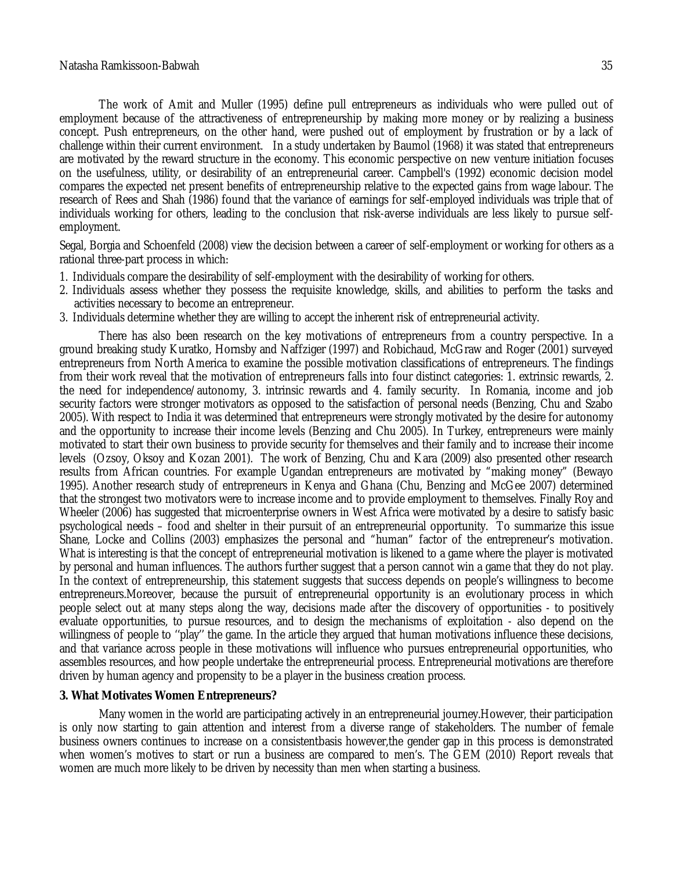The work of Amit and Muller (1995) define pull entrepreneurs as individuals who were pulled out of employment because of the attractiveness of entrepreneurship by making more money or by realizing a business concept. Push entrepreneurs, on the other hand, were pushed out of employment by frustration or by a lack of challenge within their current environment. In a study undertaken by Baumol (1968) it was stated that entrepreneurs are motivated by the reward structure in the economy. This economic perspective on new venture initiation focuses on the usefulness, utility, or desirability of an entrepreneurial career. Campbell's (1992) economic decision model compares the expected net present benefits of entrepreneurship relative to the expected gains from wage labour. The research of Rees and Shah (1986) found that the variance of earnings for self-employed individuals was triple that of individuals working for others, leading to the conclusion that risk-averse individuals are less likely to pursue selfemployment.

Segal, Borgia and Schoenfeld (2008) view the decision between a career of self-employment or working for others as a rational three-part process in which:

- 1. Individuals compare the desirability of self-employment with the desirability of working for others.
- 2. Individuals assess whether they possess the requisite knowledge, skills, and abilities to perform the tasks and activities necessary to become an entrepreneur.
- 3. Individuals determine whether they are willing to accept the inherent risk of entrepreneurial activity.

There has also been research on the key motivations of entrepreneurs from a country perspective. In a ground breaking study Kuratko, Hornsby and Naffziger (1997) and Robichaud, McGraw and Roger (2001) surveyed entrepreneurs from North America to examine the possible motivation classifications of entrepreneurs. The findings from their work reveal that the motivation of entrepreneurs falls into four distinct categories: 1. extrinsic rewards, 2. the need for independence/autonomy, 3. intrinsic rewards and 4. family security. In Romania, income and job security factors were stronger motivators as opposed to the satisfaction of personal needs (Benzing, Chu and Szabo 2005). With respect to India it was determined that entrepreneurs were strongly motivated by the desire for autonomy and the opportunity to increase their income levels (Benzing and Chu 2005). In Turkey, entrepreneurs were mainly motivated to start their own business to provide security for themselves and their family and to increase their income levels (Ozsoy, Oksoy and Kozan 2001). The work of Benzing, Chu and Kara (2009) also presented other research results from African countries. For example Ugandan entrepreneurs are motivated by "making money" (Bewayo 1995). Another research study of entrepreneurs in Kenya and Ghana (Chu, Benzing and McGee 2007) determined that the strongest two motivators were to increase income and to provide employment to themselves. Finally Roy and Wheeler (2006) has suggested that microenterprise owners in West Africa were motivated by a desire to satisfy basic psychological needs – food and shelter in their pursuit of an entrepreneurial opportunity. To summarize this issue Shane, Locke and Collins (2003) emphasizes the personal and "human" factor of the entrepreneur's motivation. What is interesting is that the concept of entrepreneurial motivation is likened to a game where the player is motivated by personal and human influences. The authors further suggest that a person cannot win a game that they do not play. In the context of entrepreneurship, this statement suggests that success depends on people's willingness to become entrepreneurs.Moreover, because the pursuit of entrepreneurial opportunity is an evolutionary process in which people select out at many steps along the way, decisions made after the discovery of opportunities - to positively evaluate opportunities, to pursue resources, and to design the mechanisms of exploitation - also depend on the willingness of people to ''play'' the game. In the article they argued that human motivations influence these decisions, and that variance across people in these motivations will influence who pursues entrepreneurial opportunities, who assembles resources, and how people undertake the entrepreneurial process. Entrepreneurial motivations are therefore driven by human agency and propensity to be a player in the business creation process.

#### **3. What Motivates Women Entrepreneurs?**

Many women in the world are participating actively in an entrepreneurial journey.However, their participation is only now starting to gain attention and interest from a diverse range of stakeholders. The number of female business owners continues to increase on a consistentbasis however,the gender gap in this process is demonstrated when women's motives to start or run a business are compared to men's. The GEM (2010) Report reveals that women are much more likely to be driven by necessity than men when starting a business.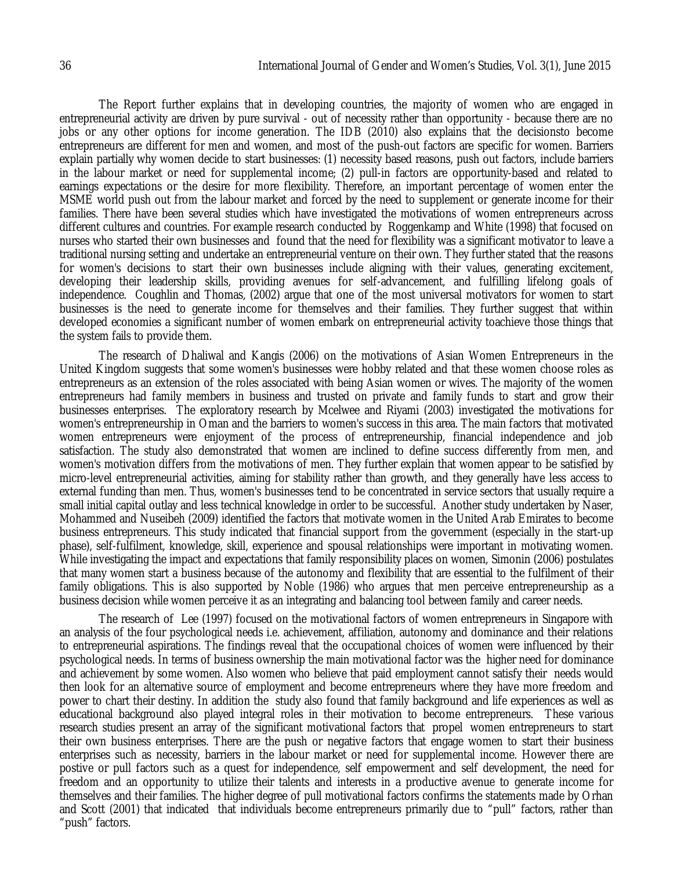The Report further explains that in developing countries, the majority of women who are engaged in entrepreneurial activity are driven by pure survival - out of necessity rather than opportunity - because there are no jobs or any other options for income generation. The IDB (2010) also explains that the decisionsto become entrepreneurs are different for men and women, and most of the push-out factors are specific for women. Barriers explain partially why women decide to start businesses: (1) necessity based reasons, push out factors, include barriers in the labour market or need for supplemental income; (2) pull-in factors are opportunity-based and related to earnings expectations or the desire for more flexibility. Therefore, an important percentage of women enter the MSME world push out from the labour market and forced by the need to supplement or generate income for their families. There have been several studies which have investigated the motivations of women entrepreneurs across different cultures and countries. For example research conducted by Roggenkamp and White (1998) that focused on nurses who started their own businesses and found that the need for flexibility was a significant motivator to leave a traditional nursing setting and undertake an entrepreneurial venture on their own. They further stated that the reasons for women's decisions to start their own businesses include aligning with their values, generating excitement, developing their leadership skills, providing avenues for self-advancement, and fulfilling lifelong goals of independence. Coughlin and Thomas, (2002) argue that one of the most universal motivators for women to start businesses is the need to generate income for themselves and their families. They further suggest that within developed economies a significant number of women embark on entrepreneurial activity toachieve those things that the system fails to provide them.

The research of Dhaliwal and Kangis (2006) on the motivations of Asian Women Entrepreneurs in the United Kingdom suggests that some women's businesses were hobby related and that these women choose roles as entrepreneurs as an extension of the roles associated with being Asian women or wives. The majority of the women entrepreneurs had family members in business and trusted on private and family funds to start and grow their businesses enterprises. The exploratory research by Mcelwee and Riyami (2003) investigated the motivations for women's entrepreneurship in Oman and the barriers to women's success in this area. The main factors that motivated women entrepreneurs were enjoyment of the process of entrepreneurship, financial independence and job satisfaction. The study also demonstrated that women are inclined to define success differently from men, and women's motivation differs from the motivations of men. They further explain that women appear to be satisfied by micro-level entrepreneurial activities, aiming for stability rather than growth, and they generally have less access to external funding than men. Thus, women's businesses tend to be concentrated in service sectors that usually require a small initial capital outlay and less technical knowledge in order to be successful. Another study undertaken by Naser, Mohammed and Nuseibeh (2009) identified the factors that motivate women in the United Arab Emirates to become business entrepreneurs. This study indicated that financial support from the government (especially in the start-up phase), self-fulfilment, knowledge, skill, experience and spousal relationships were important in motivating women. While investigating the impact and expectations that family responsibility places on women, Simonin (2006) postulates that many women start a business because of the autonomy and flexibility that are essential to the fulfilment of their family obligations. This is also supported by Noble (1986) who argues that men perceive entrepreneurship as a business decision while women perceive it as an integrating and balancing tool between family and career needs.

The research of Lee (1997) focused on the motivational factors of women entrepreneurs in Singapore with an analysis of the four psychological needs i.e. achievement, affiliation, autonomy and dominance and their relations to entrepreneurial aspirations. The findings reveal that the occupational choices of women were influenced by their psychological needs. In terms of business ownership the main motivational factor was the higher need for dominance and achievement by some women. Also women who believe that paid employment cannot satisfy their needs would then look for an alternative source of employment and become entrepreneurs where they have more freedom and power to chart their destiny. In addition the study also found that family background and life experiences as well as educational background also played integral roles in their motivation to become entrepreneurs. These various research studies present an array of the significant motivational factors that propel women entrepreneurs to start their own business enterprises. There are the push or negative factors that engage women to start their business enterprises such as necessity, barriers in the labour market or need for supplemental income. However there are postive or pull factors such as a quest for independence, self empowerment and self development, the need for freedom and an opportunity to utilize their talents and interests in a productive avenue to generate income for themselves and their families. The higher degree of pull motivational factors confirms the statements made by Orhan and Scott (2001) that indicated that individuals become entrepreneurs primarily due to "pull" factors, rather than "push" factors.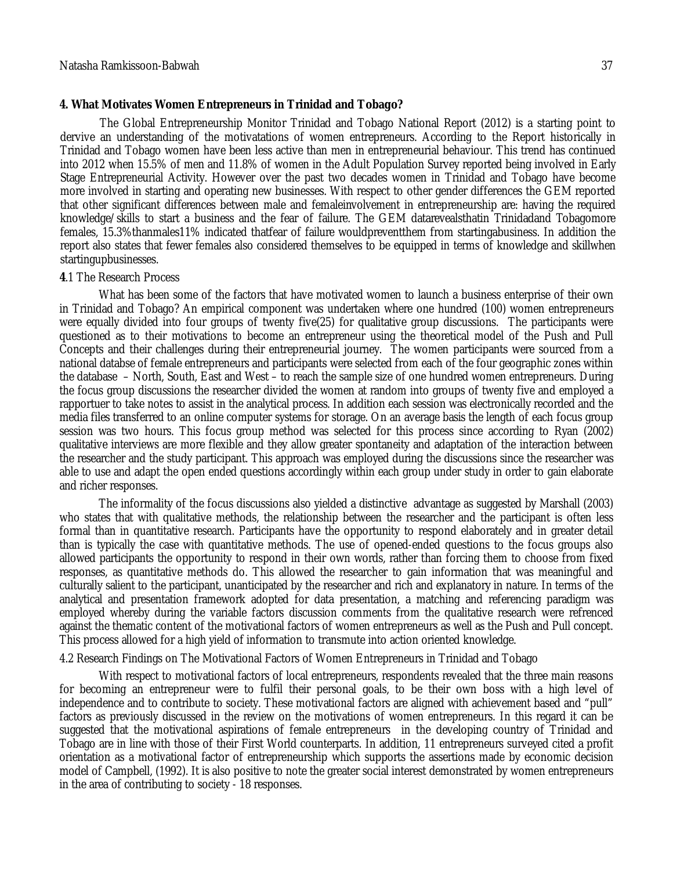### **4. What Motivates Women Entrepreneurs in Trinidad and Tobago?**

The Global Entrepreneurship Monitor Trinidad and Tobago National Report (2012) is a starting point to dervive an understanding of the motivatations of women entrepreneurs. According to the Report historically in Trinidad and Tobago women have been less active than men in entrepreneurial behaviour. This trend has continued into 2012 when 15.5% of men and 11.8% of women in the Adult Population Survey reported being involved in Early Stage Entrepreneurial Activity. However over the past two decades women in Trinidad and Tobago have become more involved in starting and operating new businesses. With respect to other gender differences the GEM reported that other significant differences between male and femaleinvolvement in entrepreneurship are: having the required knowledge/skills to start a business and the fear of failure. The GEM datarevealsthatin Trinidadand Tobagomore females, 15.3%thanmales11% indicated thatfear of failure wouldpreventthem from startingabusiness. In addition the report also states that fewer females also considered themselves to be equipped in terms of knowledge and skillwhen startingupbusinesses.

### **4**.1 The Research Process

What has been some of the factors that have motivated women to launch a business enterprise of their own in Trinidad and Tobago? An empirical component was undertaken where one hundred (100) women entrepreneurs were equally divided into four groups of twenty five(25) for qualitative group discussions. The participants were questioned as to their motivations to become an entrepreneur using the theoretical model of the Push and Pull Concepts and their challenges during their entrepreneurial journey. The women participants were sourced from a national databse of female entrepreneurs and participants were selected from each of the four geographic zones within the database – North, South, East and West – to reach the sample size of one hundred women entrepreneurs. During the focus group discussions the researcher divided the women at random into groups of twenty five and employed a rapportuer to take notes to assist in the analytical process. In addition each session was electronically recorded and the media files transferred to an online computer systems for storage. On an average basis the length of each focus group session was two hours. This focus group method was selected for this process since according to Ryan (2002) qualitative interviews are more flexible and they allow greater spontaneity and adaptation of the interaction between the researcher and the study participant. This approach was employed during the discussions since the researcher was able to use and adapt the open ended questions accordingly within each group under study in order to gain elaborate and richer responses.

The informality of the focus discussions also yielded a distinctive advantage as suggested by Marshall (2003) who states that with qualitative methods, the relationship between the researcher and the participant is often less formal than in quantitative research. Participants have the opportunity to respond elaborately and in greater detail than is typically the case with quantitative methods. The use of opened-ended questions to the focus groups also allowed participants the opportunity to respond in their own words, rather than forcing them to choose from fixed responses, as quantitative methods do. This allowed the researcher to gain information that was meaningful and culturally salient to the participant, unanticipated by the researcher and rich and explanatory in nature. In terms of the analytical and presentation framework adopted for data presentation, a matching and referencing paradigm was employed whereby during the variable factors discussion comments from the qualitative research were refrenced against the thematic content of the motivational factors of women entrepreneurs as well as the Push and Pull concept. This process allowed for a high yield of information to transmute into action oriented knowledge.

### 4.2 Research Findings on The Motivational Factors of Women Entrepreneurs in Trinidad and Tobago

With respect to motivational factors of local entrepreneurs, respondents revealed that the three main reasons for becoming an entrepreneur were to fulfil their personal goals, to be their own boss with a high level of independence and to contribute to society. These motivational factors are aligned with achievement based and "pull" factors as previously discussed in the review on the motivations of women entrepreneurs. In this regard it can be suggested that the motivational aspirations of female entrepreneurs in the developing country of Trinidad and Tobago are in line with those of their First World counterparts. In addition, 11 entrepreneurs surveyed cited a profit orientation as a motivational factor of entrepreneurship which supports the assertions made by economic decision model of Campbell, (1992). It is also positive to note the greater social interest demonstrated by women entrepreneurs in the area of contributing to society - 18 responses.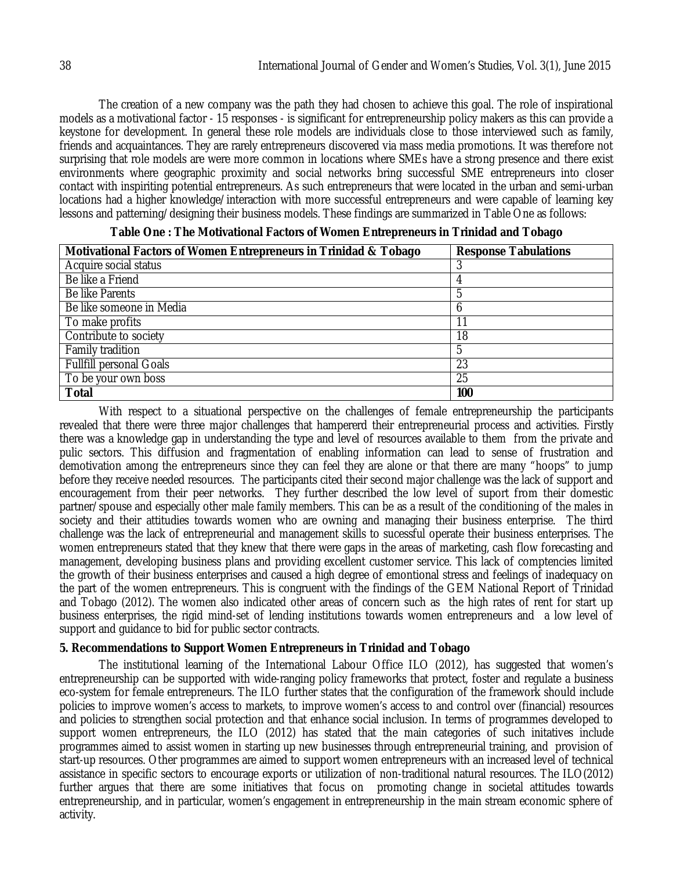The creation of a new company was the path they had chosen to achieve this goal. The role of inspirational models as a motivational factor - 15 responses - is significant for entrepreneurship policy makers as this can provide a keystone for development. In general these role models are individuals close to those interviewed such as family, friends and acquaintances. They are rarely entrepreneurs discovered via mass media promotions. It was therefore not surprising that role models are were more common in locations where SMEs have a strong presence and there exist environments where geographic proximity and social networks bring successful SME entrepreneurs into closer contact with inspiriting potential entrepreneurs. As such entrepreneurs that were located in the urban and semi-urban locations had a higher knowledge/interaction with more successful entrepreneurs and were capable of learning key lessons and patterning/designing their business models. These findings are summarized in Table One as follows:

| Acquire social status                |  |
|--------------------------------------|--|
| Be like a Friend<br>4                |  |
| Be like Parents                      |  |
| Be like someone in Media             |  |
| To make profits<br>11                |  |
| Contribute to society<br>18          |  |
| <b>Family tradition</b><br>5         |  |
| <b>Fullfill personal Goals</b><br>23 |  |
| 25<br>To be your own boss            |  |
| <b>Total</b><br>100                  |  |

With respect to a situational perspective on the challenges of female entrepreneurship the participants revealed that there were three major challenges that hampererd their entrepreneurial process and activities. Firstly there was a knowledge gap in understanding the type and level of resources available to them from the private and pulic sectors. This diffusion and fragmentation of enabling information can lead to sense of frustration and demotivation among the entrepreneurs since they can feel they are alone or that there are many "hoops" to jump before they receive needed resources. The participants cited their second major challenge was the lack of support and encouragement from their peer networks. They further described the low level of suport from their domestic partner/spouse and especially other male family members. This can be as a result of the conditioning of the males in society and their attitudies towards women who are owning and managing their business enterprise. The third challenge was the lack of entrepreneurial and management skills to sucessful operate their business enterprises. The women entrepreneurs stated that they knew that there were gaps in the areas of marketing, cash flow forecasting and management, developing business plans and providing excellent customer service. This lack of comptencies limited the growth of their business enterprises and caused a high degree of emontional stress and feelings of inadequacy on the part of the women entrepreneurs. This is congruent with the findings of the GEM National Report of Trinidad and Tobago (2012). The women also indicated other areas of concern such as the high rates of rent for start up business enterprises, the rigid mind-set of lending institutions towards women entrepreneurs and a low level of support and guidance to bid for public sector contracts.

## **5. Recommendations to Support Women Entrepreneurs in Trinidad and Tobago**

The institutional learning of the International Labour Office ILO (2012), has suggested that women's entrepreneurship can be supported with wide-ranging policy frameworks that protect, foster and regulate a business eco-system for female entrepreneurs. The ILO further states that the configuration of the framework should include policies to improve women's access to markets, to improve women's access to and control over (financial) resources and policies to strengthen social protection and that enhance social inclusion. In terms of programmes developed to support women entrepreneurs, the ILO (2012) has stated that the main categories of such initatives include programmes aimed to assist women in starting up new businesses through entrepreneurial training, and provision of start-up resources. Other programmes are aimed to support women entrepreneurs with an increased level of technical assistance in specific sectors to encourage exports or utilization of non-traditional natural resources. The ILO(2012) further argues that there are some initiatives that focus on promoting change in societal attitudes towards entrepreneurship, and in particular, women's engagement in entrepreneurship in the main stream economic sphere of activity.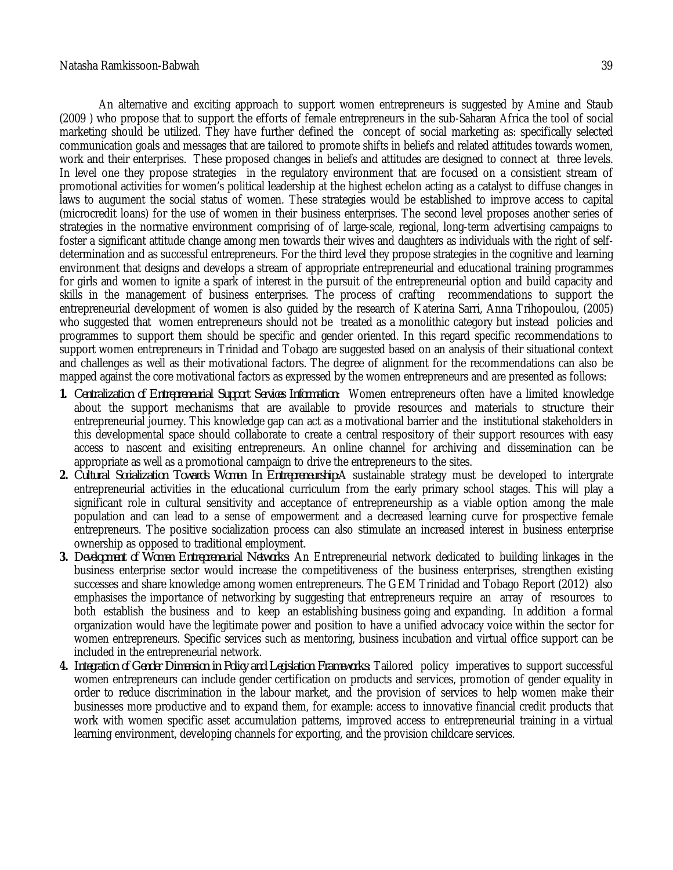An alternative and exciting approach to support women entrepreneurs is suggested by Amine and Staub (2009 ) who propose that to support the efforts of female entrepreneurs in the sub-Saharan Africa the tool of social marketing should be utilized. They have further defined the concept of social marketing as: specifically selected communication goals and messages that are tailored to promote shifts in beliefs and related attitudes towards women, work and their enterprises. These proposed changes in beliefs and attitudes are designed to connect at three levels. In level one they propose strategies in the regulatory environment that are focused on a consistient stream of promotional activities for women's political leadership at the highest echelon acting as a catalyst to diffuse changes in laws to augument the social status of women. These strategies would be established to improve access to capital (microcredit loans) for the use of women in their business enterprises. The second level proposes another series of strategies in the normative environment comprising of of large-scale, regional, long-term advertising campaigns to foster a significant attitude change among men towards their wives and daughters as individuals with the right of selfdetermination and as successful entrepreneurs. For the third level they propose strategies in the cognitive and learning environment that designs and develops a stream of appropriate entrepreneurial and educational training programmes for girls and women to ignite a spark of interest in the pursuit of the entrepreneurial option and build capacity and skills in the management of business enterprises. The process of crafting recommendations to support the entrepreneurial development of women is also guided by the research of Katerina Sarri, Anna Trihopoulou, (2005) who suggested that women entrepreneurs should not be treated as a monolithic category but instead policies and programmes to support them should be specific and gender oriented. In this regard specific recommendations to support women entrepreneurs in Trinidad and Tobago are suggested based on an analysis of their situational context and challenges as well as their motivational factors. The degree of alignment for the recommendations can also be mapped against the core motivational factors as expressed by the women entrepreneurs and are presented as follows:

- **1.** *Centralization of Entrepreneurial Support Services Information:* Women entrepreneurs often have a limited knowledge about the support mechanisms that are available to provide resources and materials to structure their entrepreneurial journey. This knowledge gap can act as a motivational barrier and the institutional stakeholders in this developmental space should collaborate to create a central respository of their support resources with easy access to nascent and exisiting entrepreneurs. An online channel for archiving and dissemination can be appropriate as well as a promotional campaign to drive the entrepreneurs to the sites.
- **2.** *Cultural Socialization Towards Women In Entrepreneurship:*A sustainable strategy must be developed to intergrate entrepreneurial activities in the educational curriculum from the early primary school stages. This will play a significant role in cultural sensitivity and acceptance of entrepreneurship as a viable option among the male population and can lead to a sense of empowerment and a decreased learning curve for prospective female entrepreneurs. The positive socialization process can also stimulate an increased interest in business enterprise ownership as opposed to traditional employment.
- **3.** *Development of Women Entrepreneurial Networks*: An Entrepreneurial network dedicated to building linkages in the business enterprise sector would increase the competitiveness of the business enterprises, strengthen existing successes and share knowledge among women entrepreneurs. The GEM Trinidad and Tobago Report (2012) also emphasises the importance of networking by suggesting that entrepreneurs require an array of resources to both establish the business and to keep an establishing business going and expanding. In addition a formal organization would have the legitimate power and position to have a unified advocacy voice within the sector for women entrepreneurs. Specific services such as mentoring, business incubation and virtual office support can be included in the entrepreneurial network.
- **4.** *Integration of Gender Dimension in Policy and Legislation Frameworks:* Tailored policy imperatives to support successful women entrepreneurs can include gender certification on products and services, promotion of gender equality in order to reduce discrimination in the labour market, and the provision of services to help women make their businesses more productive and to expand them, for example: access to innovative financial credit products that work with women specific asset accumulation patterns, improved access to entrepreneurial training in a virtual learning environment, developing channels for exporting, and the provision childcare services.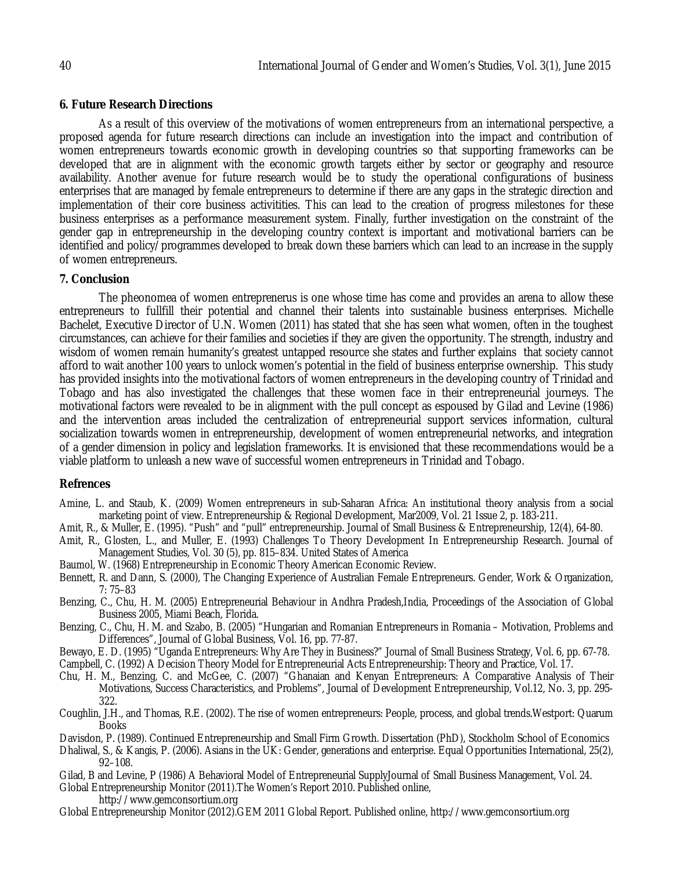### **6. Future Research Directions**

As a result of this overview of the motivations of women entrepreneurs from an international perspective, a proposed agenda for future research directions can include an investigation into the impact and contribution of women entrepreneurs towards economic growth in developing countries so that supporting frameworks can be developed that are in alignment with the economic growth targets either by sector or geography and resource availability. Another avenue for future research would be to study the operational configurations of business enterprises that are managed by female entrepreneurs to determine if there are any gaps in the strategic direction and implementation of their core business activitities. This can lead to the creation of progress milestones for these business enterprises as a performance measurement system. Finally, further investigation on the constraint of the gender gap in entrepreneurship in the developing country context is important and motivational barriers can be identified and policy/programmes developed to break down these barriers which can lead to an increase in the supply of women entrepreneurs.

#### **7. Conclusion**

The pheonomea of women entreprenerus is one whose time has come and provides an arena to allow these entrepreneurs to fullfill their potential and channel their talents into sustainable business enterprises. Michelle Bachelet, Executive Director of U.N. Women (2011) has stated that she has seen what women, often in the toughest circumstances, can achieve for their families and societies if they are given the opportunity. The strength, industry and wisdom of women remain humanity's greatest untapped resource she states and further explains that society cannot afford to wait another 100 years to unlock women's potential in the field of business enterprise ownership. This study has provided insights into the motivational factors of women entrepreneurs in the developing country of Trinidad and Tobago and has also investigated the challenges that these women face in their entrepreneurial journeys. The motivational factors were revealed to be in alignment with the pull concept as espoused by Gilad and Levine (1986) and the intervention areas included the centralization of entrepreneurial support services information, cultural socialization towards women in entrepreneurship, development of women entrepreneurial networks, and integration of a gender dimension in policy and legislation frameworks. It is envisioned that these recommendations would be a viable platform to unleash a new wave of successful women entrepreneurs in Trinidad and Tobago.

#### **Refrences**

- Amine, L. and Staub, K. (2009) Women entrepreneurs in sub-Saharan Africa: An institutional theory analysis from a social marketing point of view. Entrepreneurship & Regional Development, Mar2009, Vol. 21 Issue 2, p. 183-211.
- Amit, R., & Muller, E. (1995). "Push" and "pull" entrepreneurship. Journal of Small Business & Entrepreneurship, 12(4), 64-80.
- Amit, R., Glosten, L., and Muller, E. (1993) Challenges To Theory Development In Entrepreneurship Research. Journal of Management Studies, Vol. 30 (5), pp. 815–834. United States of America
- Baumol, W. (1968) Entrepreneurship in Economic Theory American Economic Review.
- Bennett, R. and Dann, S. (2000), The Changing Experience of Australian Female Entrepreneurs. Gender, Work & Organization, 7: 75–83
- Benzing, C., Chu, H. M. (2005) Entrepreneurial Behaviour in Andhra Pradesh,India, Proceedings of the Association of Global Business 2005, Miami Beach, Florida.
- Benzing, C., Chu, H. M. and Szabo, B. (2005) "Hungarian and Romanian Entrepreneurs in Romania Motivation, Problems and Differences", Journal of Global Business, Vol. 16, pp. 77-87.
- Bewayo, E. D. (1995) "Uganda Entrepreneurs: Why Are They in Business?" Journal of Small Business Strategy, Vol. 6, pp. 67-78.

Campbell, C. (1992) A Decision Theory Model for Entrepreneurial Acts Entrepreneurship: Theory and Practice, Vol. 17.

- Chu, H. M., Benzing, C. and McGee, C. (2007) "Ghanaian and Kenyan Entrepreneurs: A Comparative Analysis of Their Motivations, Success Characteristics, and Problems", Journal of Development Entrepreneurship, Vol.12, No. 3, pp. 295- 322.
- Coughlin, J.H., and Thomas, R.E. (2002). The rise of women entrepreneurs: People, process, and global trends.Westport: Quarum **Books**
- Davisdon, P. (1989). Continued Entrepreneurship and Small Firm Growth. Dissertation (PhD), Stockholm School of Economics
- Dhaliwal, S., & Kangis, P. (2006). Asians in the UK: Gender, generations and enterprise. Equal Opportunities International, 25(2), 92–108.
- Gilad, B and Levine, P (1986) A Behavioral Model of Entrepreneurial SupplyJournal of Small Business Management, Vol. 24.
- Global Entrepreneurship Monitor (2011).The Women's Report 2010. Published online,
	- http://www.gemconsortium.org
- Global Entrepreneurship Monitor (2012).GEM 2011 Global Report. Published online, http://www.gemconsortium.org